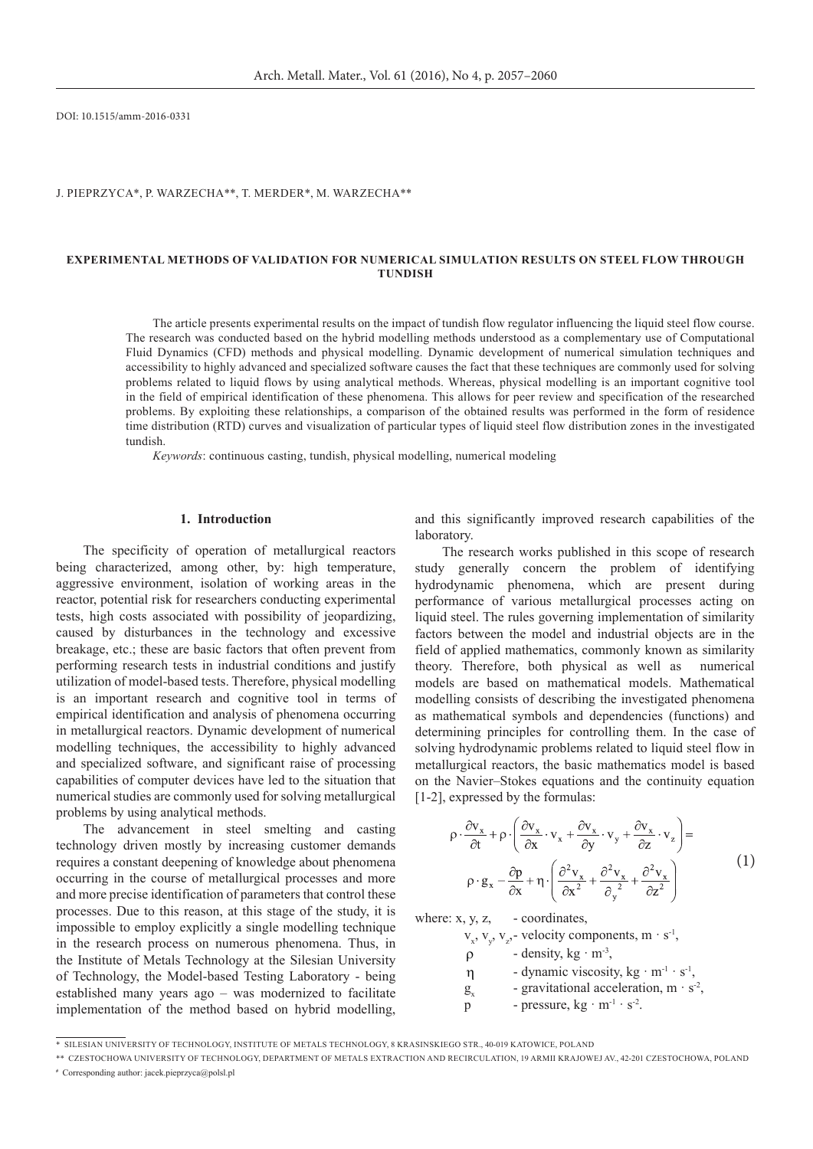DOI: 10.1515/amm-2016-0331

### J. PIEPRZYCA\*, P. WARZECHA\*\*, T. Merder\*, M. WARZECHA\*\*

# **Experimental METHODS OF VALIDATION FOR NUMERICAL SIMULATION RESULTS ON STEEL FLOW THROUGH tundish**

The article presents experimental results on the impact of tundish flow regulator influencing the liquid steel flow course. The research was conducted based on the hybrid modelling methods understood as a complementary use of Computational Fluid Dynamics (CFD) methods and physical modelling. Dynamic development of numerical simulation techniques and accessibility to highly advanced and specialized software causes the fact that these techniques are commonly used for solving problems related to liquid flows by using analytical methods. Whereas, physical modelling is an important cognitive tool in the field of empirical identification of these phenomena. This allows for peer review and specification of the researched problems. By exploiting these relationships, a comparison of the obtained results was performed in the form of residence time distribution (RTD) curves and visualization of particular types of liquid steel flow distribution zones in the investigated tundish.

*Keywords*: continuous casting, tundish, physical modelling, numerical modeling

# **1. Introduction**

The specificity of operation of metallurgical reactors being characterized, among other, by: high temperature, aggressive environment, isolation of working areas in the reactor, potential risk for researchers conducting experimental tests, high costs associated with possibility of jeopardizing, caused by disturbances in the technology and excessive breakage, etc.; these are basic factors that often prevent from performing research tests in industrial conditions and justify utilization of model-based tests. Therefore, physical modelling is an important research and cognitive tool in terms of empirical identification and analysis of phenomena occurring in metallurgical reactors. Dynamic development of numerical modelling techniques, the accessibility to highly advanced and specialized software, and significant raise of processing capabilities of computer devices have led to the situation that numerical studies are commonly used for solving metallurgical problems by using analytical methods.

The advancement in steel smelting and casting technology driven mostly by increasing customer demands requires a constant deepening of knowledge about phenomena occurring in the course of metallurgical processes and more and more precise identification of parameters that control these processes. Due to this reason, at this stage of the study, it is impossible to employ explicitly a single modelling technique in the research process on numerous phenomena. Thus, in the Institute of Metals Technology at the Silesian University of Technology, the Model-based Testing Laboratory - being established many years ago – was modernized to facilitate implementation of the method based on hybrid modelling,

and this significantly improved research capabilities of the laboratory.

The research works published in this scope of research study generally concern the problem of identifying hydrodynamic phenomena, which are present during performance of various metallurgical processes acting on liquid steel. The rules governing implementation of similarity factors between the model and industrial objects are in the field of applied mathematics, commonly known as similarity theory. Therefore, both physical as well as numerical models are based on mathematical models. Mathematical modelling consists of describing the investigated phenomena as mathematical symbols and dependencies (functions) and determining principles for controlling them. In the case of solving hydrodynamic problems related to liquid steel flow in metallurgical reactors, the basic mathematics model is based on the Navier–Stokes equations and the continuity equation [1-2], expressed by the formulas:

$$
\rho \cdot \frac{\partial v_x}{\partial t} + \rho \cdot \left( \frac{\partial v_x}{\partial x} \cdot v_x + \frac{\partial v_x}{\partial y} \cdot v_y + \frac{\partial v_x}{\partial z} \cdot v_z \right) =
$$
\n
$$
\rho \cdot g_x - \frac{\partial p}{\partial x} + \eta \cdot \left( \frac{\partial^2 v_x}{\partial x^2} + \frac{\partial^2 v_x}{\partial y^2} + \frac{\partial^2 v_x}{\partial z^2} \right)
$$
\n(1)

where:  $x, y, z, -$  coordinates,

 $v_x$ ,  $v_y$ ,  $v_z$ , velocity components, m · s<sup>-1</sup>,

 $\rho$  - density, kg · m<sup>-3</sup>,

 $\eta$  - dynamic viscosity, kg · m<sup>-1</sup> · s<sup>-1</sup>,

 $g_x$  - gravitational acceleration, m · s<sup>-2</sup>,

p - pressure,  $kg \cdot m^{-1} \cdot s^{-2}$ .

\*\* Czestochowa University of Technology, Department of Metals Extraction and Recirculation, 19 Armii Krajowej AV., 42-201 Czestochowa, Poland **#** Corresponding author: jacek.pieprzyca@polsl.pl

<sup>\*</sup> Silesian University of Technology, Institute of Metals Technology, 8 Krasinskiego STR., 40-019 Katowice, POLAND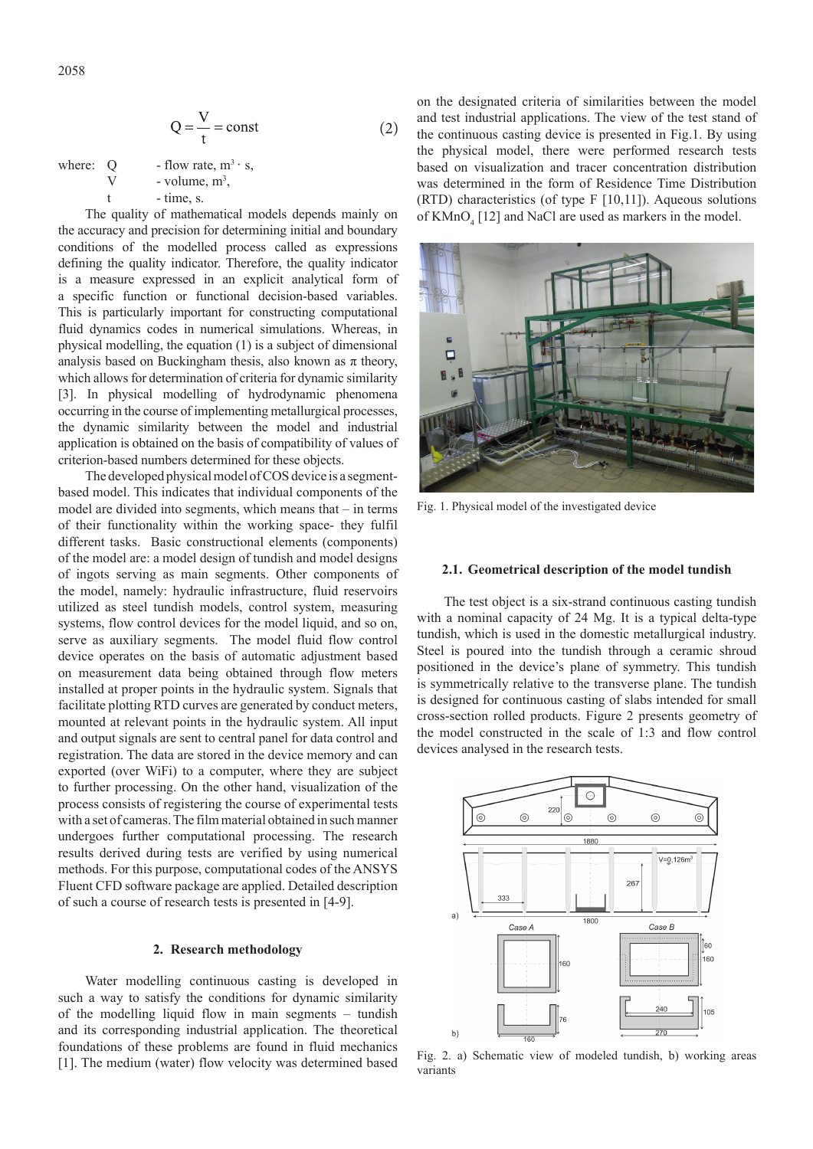$$
Q = \frac{V}{t} = const
$$
 (2)

where: Q - flow rate, 
$$
m^3 \cdot s
$$
,  
\nV - volume,  $m^3$ ,  
\nt - time, s.

The quality of mathematical models depends mainly on the accuracy and precision for determining initial and boundary conditions of the modelled process called as expressions defining the quality indicator. Therefore, the quality indicator is a measure expressed in an explicit analytical form of a specific function or functional decision-based variables. This is particularly important for constructing computational fluid dynamics codes in numerical simulations. Whereas, in physical modelling, the equation (1) is a subject of dimensional analysis based on Buckingham thesis, also known as  $\pi$  theory, which allows for determination of criteria for dynamic similarity [3]. In physical modelling of hydrodynamic phenomena occurring in the course of implementing metallurgical processes, the dynamic similarity between the model and industrial application is obtained on the basis of compatibility of values of criterion-based numbers determined for these objects.

The developed physical model of COS device is a segmentbased model. This indicates that individual components of the model are divided into segments, which means that – in terms of their functionality within the working space- they fulfil different tasks. Basic constructional elements (components) of the model are: a model design of tundish and model designs of ingots serving as main segments. Other components of the model, namely: hydraulic infrastructure, fluid reservoirs utilized as steel tundish models, control system, measuring systems, flow control devices for the model liquid, and so on, serve as auxiliary segments. The model fluid flow control device operates on the basis of automatic adjustment based on measurement data being obtained through flow meters installed at proper points in the hydraulic system. Signals that facilitate plotting RTD curves are generated by conduct meters, mounted at relevant points in the hydraulic system. All input and output signals are sent to central panel for data control and registration. The data are stored in the device memory and can exported (over WiFi) to a computer, where they are subject to further processing. On the other hand, visualization of the process consists of registering the course of experimental tests with a set of cameras. The film material obtained in such manner undergoes further computational processing. The research results derived during tests are verified by using numerical methods. For this purpose, computational codes of the ANSYS Fluent CFD software package are applied. Detailed description of such a course of research tests is presented in [4-9].

# **2. Research methodology**

Water modelling continuous casting is developed in such a way to satisfy the conditions for dynamic similarity of the modelling liquid flow in main segments – tundish and its corresponding industrial application. The theoretical foundations of these problems are found in fluid mechanics [1]. The medium (water) flow velocity was determined based on the designated criteria of similarities between the model and test industrial applications. The view of the test stand of the continuous casting device is presented in Fig.1. By using the physical model, there were performed research tests based on visualization and tracer concentration distribution was determined in the form of Residence Time Distribution (RTD) characteristics (of type F [10,11]). Aqueous solutions of  $KMnO<sub>4</sub>$  [12] and NaCl are used as markers in the model.



Fig. 1. Physical model of the investigated device

### **2.1. Geometrical description of the model tundish**

The test object is a six-strand continuous casting tundish with a nominal capacity of 24 Mg. It is a typical delta-type tundish, which is used in the domestic metallurgical industry. Steel is poured into the tundish through a ceramic shroud positioned in the device's plane of symmetry. This tundish is symmetrically relative to the transverse plane. The tundish is designed for continuous casting of slabs intended for small cross-section rolled products. Figure 2 presents geometry of the model constructed in the scale of 1:3 and flow control devices analysed in the research tests.



Fig. 2. a) Schematic view of modeled tundish, b) working areas variants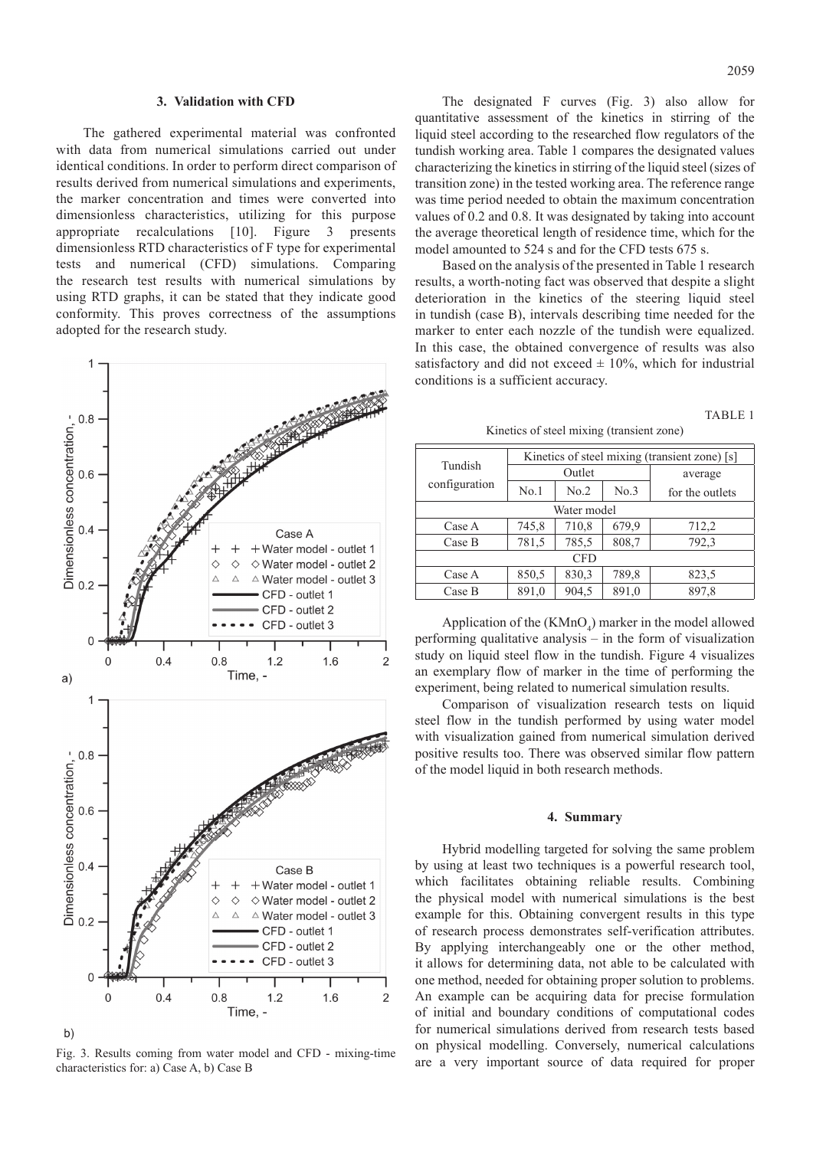#### **3. Validation with CFD**

The gathered experimental material was confronted with data from numerical simulations carried out under identical conditions. In order to perform direct comparison of results derived from numerical simulations and experiments, the marker concentration and times were converted into dimensionless characteristics, utilizing for this purpose appropriate recalculations [10]. Figure 3 presents dimensionless RTD characteristics of F type for experimental tests and numerical (CFD) simulations. Comparing the research test results with numerical simulations by using RTD graphs, it can be stated that they indicate good conformity. This proves correctness of the assumptions adopted for the research study.



Fig. 3. Results coming from water model and CFD - mixing-time characteristics for: a) Case A, b) Case B

The designated F curves (Fig. 3) also allow for quantitative assessment of the kinetics in stirring of the liquid steel according to the researched flow regulators of the tundish working area. Table 1 compares the designated values characterizing the kinetics in stirring of the liquid steel (sizes of transition zone) in the tested working area. The reference range was time period needed to obtain the maximum concentration values of 0.2 and 0.8. It was designated by taking into account the average theoretical length of residence time, which for the model amounted to 524 s and for the CFD tests 675 s.

Based on the analysis of the presented in Table 1 research results, a worth-noting fact was observed that despite a slight deterioration in the kinetics of the steering liquid steel in tundish (case B), intervals describing time needed for the marker to enter each nozzle of the tundish were equalized. In this case, the obtained convergence of results was also satisfactory and did not exceed  $\pm$  10%, which for industrial conditions is a sufficient accuracy.

# TABLE 1

Kinetics of steel mixing (transient zone)

| Tundish<br>configuration | Kinetics of steel mixing (transient zone) [s] |       |       |                 |
|--------------------------|-----------------------------------------------|-------|-------|-----------------|
|                          | Outlet                                        |       |       | average         |
|                          | No.1                                          | No.2  | No.3  | for the outlets |
| Water model              |                                               |       |       |                 |
| Case A                   | 745,8                                         | 710,8 | 679,9 | 712,2           |
| Case B                   | 781,5                                         | 785,5 | 808,7 | 792,3           |
| <b>CFD</b>               |                                               |       |       |                 |
| Case A                   | 850,5                                         | 830,3 | 789,8 | 823,5           |
| Case B                   | 891,0                                         | 904,5 | 891,0 | 897,8           |

Application of the  $(KMnO<sub>4</sub>)$  marker in the model allowed performing qualitative analysis – in the form of visualization study on liquid steel flow in the tundish. Figure 4 visualizes an exemplary flow of marker in the time of performing the experiment, being related to numerical simulation results.

Comparison of visualization research tests on liquid steel flow in the tundish performed by using water model with visualization gained from numerical simulation derived positive results too. There was observed similar flow pattern of the model liquid in both research methods.

### **4. Summary**

Hybrid modelling targeted for solving the same problem by using at least two techniques is a powerful research tool, which facilitates obtaining reliable results. Combining the physical model with numerical simulations is the best example for this. Obtaining convergent results in this type of research process demonstrates self-verification attributes. By applying interchangeably one or the other method, it allows for determining data, not able to be calculated with one method, needed for obtaining proper solution to problems. An example can be acquiring data for precise formulation of initial and boundary conditions of computational codes for numerical simulations derived from research tests based on physical modelling. Conversely, numerical calculations are a very important source of data required for proper